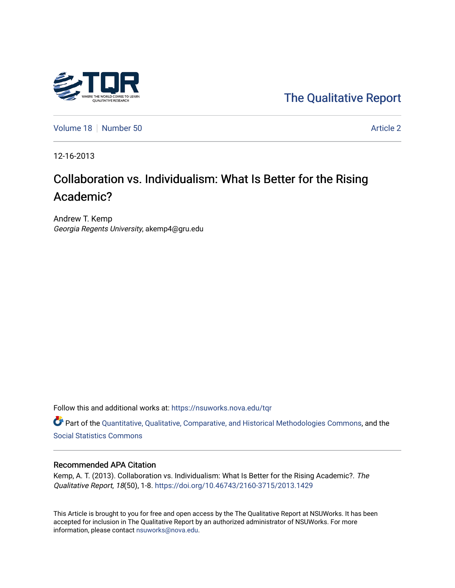

[The Qualitative Report](https://nsuworks.nova.edu/tqr) 

[Volume 18](https://nsuworks.nova.edu/tqr/vol18) [Number 50](https://nsuworks.nova.edu/tqr/vol18/iss50) Article 2

12-16-2013

# Collaboration vs. Individualism: What Is Better for the Rising Academic?

Andrew T. Kemp Georgia Regents University, akemp4@gru.edu

Follow this and additional works at: [https://nsuworks.nova.edu/tqr](https://nsuworks.nova.edu/tqr?utm_source=nsuworks.nova.edu%2Ftqr%2Fvol18%2Fiss50%2F2&utm_medium=PDF&utm_campaign=PDFCoverPages) 

Part of the [Quantitative, Qualitative, Comparative, and Historical Methodologies Commons,](http://network.bepress.com/hgg/discipline/423?utm_source=nsuworks.nova.edu%2Ftqr%2Fvol18%2Fiss50%2F2&utm_medium=PDF&utm_campaign=PDFCoverPages) and the [Social Statistics Commons](http://network.bepress.com/hgg/discipline/1275?utm_source=nsuworks.nova.edu%2Ftqr%2Fvol18%2Fiss50%2F2&utm_medium=PDF&utm_campaign=PDFCoverPages) 

## Recommended APA Citation

Kemp, A. T. (2013). Collaboration vs. Individualism: What Is Better for the Rising Academic?. The Qualitative Report, 18(50), 1-8. <https://doi.org/10.46743/2160-3715/2013.1429>

This Article is brought to you for free and open access by the The Qualitative Report at NSUWorks. It has been accepted for inclusion in The Qualitative Report by an authorized administrator of NSUWorks. For more information, please contact [nsuworks@nova.edu.](mailto:nsuworks@nova.edu)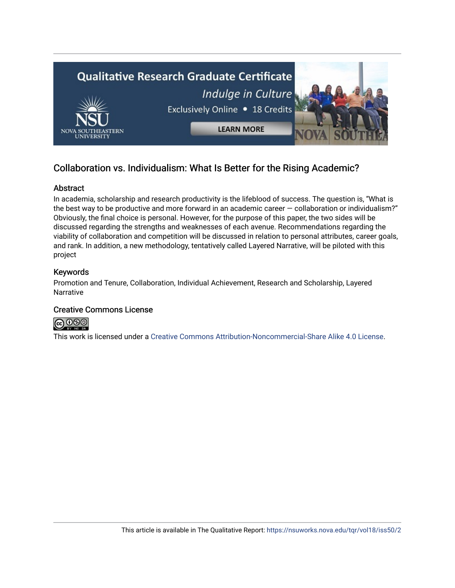

## Collaboration vs. Individualism: What Is Better for the Rising Academic?

## Abstract

In academia, scholarship and research productivity is the lifeblood of success. The question is, "What is the best way to be productive and more forward in an academic career  $-$  collaboration or individualism?" Obviously, the final choice is personal. However, for the purpose of this paper, the two sides will be discussed regarding the strengths and weaknesses of each avenue. Recommendations regarding the viability of collaboration and competition will be discussed in relation to personal attributes, career goals, and rank. In addition, a new methodology, tentatively called Layered Narrative, will be piloted with this project

## Keywords

Promotion and Tenure, Collaboration, Individual Achievement, Research and Scholarship, Layered **Narrative** 

## Creative Commons License



This work is licensed under a [Creative Commons Attribution-Noncommercial-Share Alike 4.0 License](https://creativecommons.org/licenses/by-nc-sa/4.0/).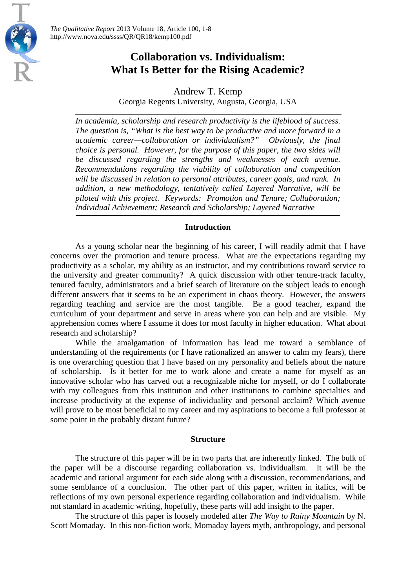

## **Collaboration vs. Individualism: What Is Better for the Rising Academic?**

Andrew T. Kemp Georgia Regents University, Augusta, Georgia, USA

*In academia, scholarship and research productivity is the lifeblood of success. The question is, "What is the best way to be productive and more forward in a academic career—collaboration or individualism?" Obviously, the final choice is personal. However, for the purpose of this paper, the two sides will be discussed regarding the strengths and weaknesses of each avenue. Recommendations regarding the viability of collaboration and competition will be discussed in relation to personal attributes, career goals, and rank. In addition, a new methodology, tentatively called Layered Narrative, will be piloted with this project. Keywords: Promotion and Tenure; Collaboration; Individual Achievement; Research and Scholarship; Layered Narrative*

## **Introduction**

As a young scholar near the beginning of his career, I will readily admit that I have concerns over the promotion and tenure process. What are the expectations regarding my productivity as a scholar, my ability as an instructor, and my contributions toward service to the university and greater community? A quick discussion with other tenure-track faculty, tenured faculty, administrators and a brief search of literature on the subject leads to enough different answers that it seems to be an experiment in chaos theory. However, the answers regarding teaching and service are the most tangible. Be a good teacher, expand the curriculum of your department and serve in areas where you can help and are visible. My apprehension comes where I assume it does for most faculty in higher education. What about research and scholarship?

While the amalgamation of information has lead me toward a semblance of understanding of the requirements (or I have rationalized an answer to calm my fears), there is one overarching question that I have based on my personality and beliefs about the nature of scholarship. Is it better for me to work alone and create a name for myself as an innovative scholar who has carved out a recognizable niche for myself, or do I collaborate with my colleagues from this institution and other institutions to combine specialties and increase productivity at the expense of individuality and personal acclaim? Which avenue will prove to be most beneficial to my career and my aspirations to become a full professor at some point in the probably distant future?

## **Structure**

The structure of this paper will be in two parts that are inherently linked. The bulk of the paper will be a discourse regarding collaboration vs. individualism. It will be the academic and rational argument for each side along with a discussion, recommendations, and some semblance of a conclusion. The other part of this paper, written in italics, will be reflections of my own personal experience regarding collaboration and individualism. While not standard in academic writing, hopefully, these parts will add insight to the paper.

The structure of this paper is loosely modeled after *The Way to Rainy Mountain* by N. Scott Momaday. In this non-fiction work, Momaday layers myth, anthropology, and personal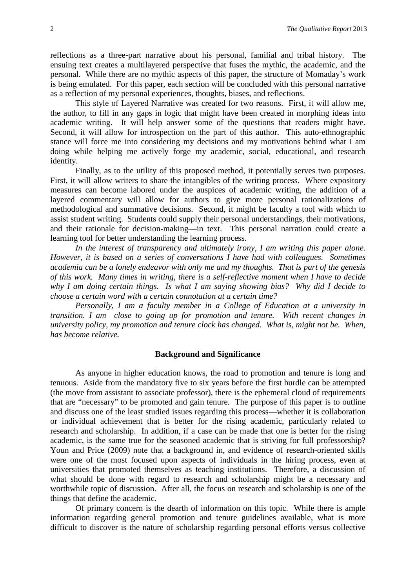reflections as a three-part narrative about his personal, familial and tribal history. The ensuing text creates a multilayered perspective that fuses the mythic, the academic, and the personal. While there are no mythic aspects of this paper, the structure of Momaday's work is being emulated. For this paper, each section will be concluded with this personal narrative as a reflection of my personal experiences, thoughts, biases, and reflections.

This style of Layered Narrative was created for two reasons. First, it will allow me, the author, to fill in any gaps in logic that might have been created in morphing ideas into academic writing. It will help answer some of the questions that readers might have. Second, it will allow for introspection on the part of this author. This auto-ethnographic stance will force me into considering my decisions and my motivations behind what I am doing while helping me actively forge my academic, social, educational, and research identity.

Finally, as to the utility of this proposed method, it potentially serves two purposes. First, it will allow writers to share the intangibles of the writing process. Where expository measures can become labored under the auspices of academic writing, the addition of a layered commentary will allow for authors to give more personal rationalizations of methodological and summative decisions. Second, it might be faculty a tool with which to assist student writing. Students could supply their personal understandings, their motivations, and their rationale for decision-making—in text. This personal narration could create a learning tool for better understanding the learning process.

*In the interest of transparency and ultimately irony, I am writing this paper alone. However, it is based on a series of conversations I have had with colleagues. Sometimes academia can be a lonely endeavor with only me and my thoughts. That is part of the genesis of this work. Many times in writing, there is a self-reflective moment when I have to decide why I am doing certain things. Is what I am saying showing bias? Why did I decide to choose a certain word with a certain connotation at a certain time?* 

*Personally, I am a faculty member in a College of Education at a university in transition. I am close to going up for promotion and tenure. With recent changes in university policy, my promotion and tenure clock has changed. What is, might not be. When, has become relative.* 

#### **Background and Significance**

As anyone in higher education knows, the road to promotion and tenure is long and tenuous. Aside from the mandatory five to six years before the first hurdle can be attempted (the move from assistant to associate professor), there is the ephemeral cloud of requirements that are "necessary" to be promoted and gain tenure. The purpose of this paper is to outline and discuss one of the least studied issues regarding this process—whether it is collaboration or individual achievement that is better for the rising academic, particularly related to research and scholarship. In addition, if a case can be made that one is better for the rising academic, is the same true for the seasoned academic that is striving for full professorship? Youn and Price (2009) note that a background in, and evidence of research-oriented skills were one of the most focused upon aspects of individuals in the hiring process, even at universities that promoted themselves as teaching institutions. Therefore, a discussion of what should be done with regard to research and scholarship might be a necessary and worthwhile topic of discussion. After all, the focus on research and scholarship is one of the things that define the academic.

Of primary concern is the dearth of information on this topic. While there is ample information regarding general promotion and tenure guidelines available, what is more difficult to discover is the nature of scholarship regarding personal efforts versus collective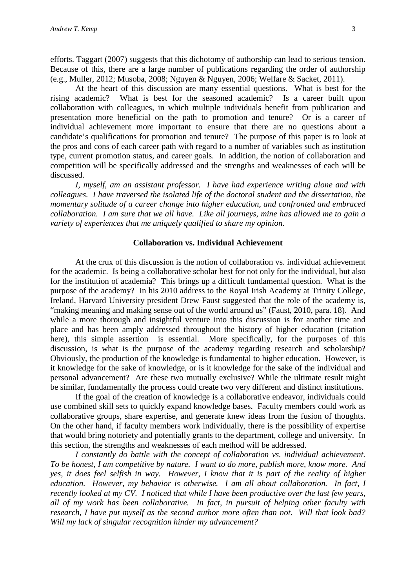efforts. Taggart (2007) suggests that this dichotomy of authorship can lead to serious tension. Because of this, there are a large number of publications regarding the order of authorship (e.g., Muller, 2012; Musoba, 2008; Nguyen & Nguyen, 2006; Welfare & Sacket, 2011).

At the heart of this discussion are many essential questions. What is best for the rising academic? What is best for the seasoned academic? Is a career built upon collaboration with colleagues, in which multiple individuals benefit from publication and presentation more beneficial on the path to promotion and tenure? Or is a career of individual achievement more important to ensure that there are no questions about a candidate's qualifications for promotion and tenure? The purpose of this paper is to look at the pros and cons of each career path with regard to a number of variables such as institution type, current promotion status, and career goals. In addition, the notion of collaboration and competition will be specifically addressed and the strengths and weaknesses of each will be discussed.

*I, myself, am an assistant professor. I have had experience writing alone and with colleagues. I have traversed the isolated life of the doctoral student and the dissertation, the momentary solitude of a career change into higher education, and confronted and embraced collaboration. I am sure that we all have. Like all journeys, mine has allowed me to gain a variety of experiences that me uniquely qualified to share my opinion.* 

## **Collaboration vs. Individual Achievement**

At the crux of this discussion is the notion of collaboration vs. individual achievement for the academic. Is being a collaborative scholar best for not only for the individual, but also for the institution of academia? This brings up a difficult fundamental question. What is the purpose of the academy? In his 2010 address to the Royal Irish Academy at Trinity College, Ireland, Harvard University president Drew Faust suggested that the role of the academy is, "making meaning and making sense out of the world around us" (Faust, 2010, para. 18). And while a more thorough and insightful venture into this discussion is for another time and place and has been amply addressed throughout the history of higher education (citation here), this simple assertion is essential. More specifically, for the purposes of this discussion, is what is the purpose of the academy regarding research and scholarship? Obviously, the production of the knowledge is fundamental to higher education. However, is it knowledge for the sake of knowledge, or is it knowledge for the sake of the individual and personal advancement? Are these two mutually exclusive? While the ultimate result might be similar, fundamentally the process could create two very different and distinct institutions.

If the goal of the creation of knowledge is a collaborative endeavor, individuals could use combined skill sets to quickly expand knowledge bases. Faculty members could work as collaborative groups, share expertise, and generate knew ideas from the fusion of thoughts. On the other hand, if faculty members work individually, there is the possibility of expertise that would bring notoriety and potentially grants to the department, college and university. In this section, the strengths and weaknesses of each method will be addressed.

*I constantly do battle with the concept of collaboration vs. individual achievement. To be honest, I am competitive by nature. I want to do more, publish more, know more. And yes, it does feel selfish in way. However, I know that it is part of the reality of higher education. However, my behavior is otherwise. I am all about collaboration. In fact, I recently looked at my CV. I noticed that while I have been productive over the last few years, all of my work has been collaborative. In fact, in pursuit of helping other faculty with research, I have put myself as the second author more often than not. Will that look bad? Will my lack of singular recognition hinder my advancement?*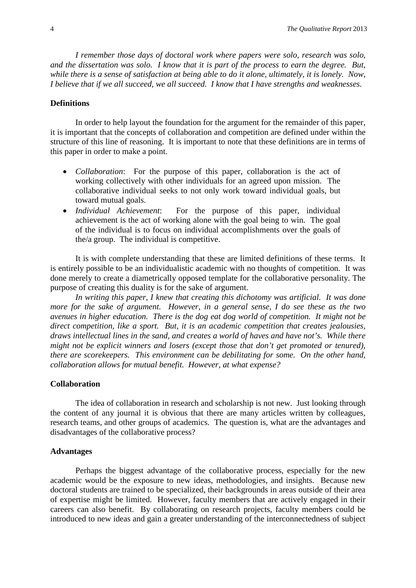*I remember those days of doctoral work where papers were solo, research was solo, and the dissertation was solo. I know that it is part of the process to earn the degree. But, while there is a sense of satisfaction at being able to do it alone, ultimately, it is lonely. Now, I believe that if we all succeed, we all succeed. I know that I have strengths and weaknesses.* 

## **Definitions**

In order to help layout the foundation for the argument for the remainder of this paper, it is important that the concepts of collaboration and competition are defined under within the structure of this line of reasoning. It is important to note that these definitions are in terms of this paper in order to make a point.

- *Collaboration*: For the purpose of this paper, collaboration is the act of working collectively with other individuals for an agreed upon mission. The collaborative individual seeks to not only work toward individual goals, but toward mutual goals.
- *Individual Achievement*: For the purpose of this paper, individual achievement is the act of working alone with the goal being to win. The goal of the individual is to focus on individual accomplishments over the goals of the/a group. The individual is competitive.

It is with complete understanding that these are limited definitions of these terms. It is entirely possible to be an individualistic academic with no thoughts of competition. It was done merely to create a diametrically opposed template for the collaborative personality. The purpose of creating this duality is for the sake of argument.

*In writing this paper, I knew that creating this dichotomy was artificial. It was done more for the sake of argument. However, in a general sense, I do see these as the two avenues in higher education. There is the dog eat dog world of competition. It might not be direct competition, like a sport. But, it is an academic competition that creates jealousies, draws intellectual lines in the sand, and creates a world of haves and have not's. While there might not be explicit winners and losers (except those that don't get promoted or tenured), there are scorekeepers. This environment can be debilitating for some. On the other hand, collaboration allows for mutual benefit. However, at what expense?*

#### **Collaboration**

The idea of collaboration in research and scholarship is not new. Just looking through the content of any journal it is obvious that there are many articles written by colleagues, research teams, and other groups of academics. The question is, what are the advantages and disadvantages of the collaborative process?

#### **Advantages**

Perhaps the biggest advantage of the collaborative process, especially for the new academic would be the exposure to new ideas, methodologies, and insights. Because new doctoral students are trained to be specialized, their backgrounds in areas outside of their area of expertise might be limited. However, faculty members that are actively engaged in their careers can also benefit. By collaborating on research projects, faculty members could be introduced to new ideas and gain a greater understanding of the interconnectedness of subject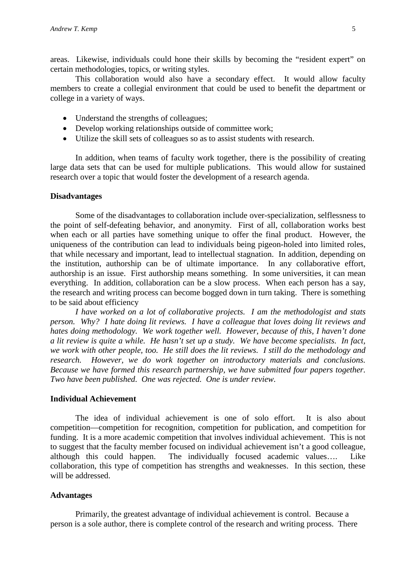areas. Likewise, individuals could hone their skills by becoming the "resident expert" on certain methodologies, topics, or writing styles.

This collaboration would also have a secondary effect. It would allow faculty members to create a collegial environment that could be used to benefit the department or college in a variety of ways.

- Understand the strengths of colleagues;
- Develop working relationships outside of committee work;
- Utilize the skill sets of colleagues so as to assist students with research.

In addition, when teams of faculty work together, there is the possibility of creating large data sets that can be used for multiple publications. This would allow for sustained research over a topic that would foster the development of a research agenda.

## **Disadvantages**

Some of the disadvantages to collaboration include over-specialization, selflessness to the point of self-defeating behavior, and anonymity. First of all, collaboration works best when each or all parties have something unique to offer the final product. However, the uniqueness of the contribution can lead to individuals being pigeon-holed into limited roles, that while necessary and important, lead to intellectual stagnation. In addition, depending on the institution, authorship can be of ultimate importance. In any collaborative effort, authorship is an issue. First authorship means something. In some universities, it can mean everything. In addition, collaboration can be a slow process. When each person has a say, the research and writing process can become bogged down in turn taking. There is something to be said about efficiency

*I have worked on a lot of collaborative projects. I am the methodologist and stats person. Why? I hate doing lit reviews. I have a colleague that loves doing lit reviews and hates doing methodology. We work together well. However, because of this, I haven't done a lit review is quite a while. He hasn't set up a study. We have become specialists. In fact, we work with other people, too. He still does the lit reviews. I still do the methodology and research. However, we do work together on introductory materials and conclusions. Because we have formed this research partnership, we have submitted four papers together. Two have been published. One was rejected. One is under review.* 

## **Individual Achievement**

The idea of individual achievement is one of solo effort. It is also about competition—competition for recognition, competition for publication, and competition for funding. It is a more academic competition that involves individual achievement. This is not to suggest that the faculty member focused on individual achievement isn't a good colleague, although this could happen. The individually focused academic values…. Like collaboration, this type of competition has strengths and weaknesses. In this section, these will be addressed.

#### **Advantages**

Primarily, the greatest advantage of individual achievement is control. Because a person is a sole author, there is complete control of the research and writing process. There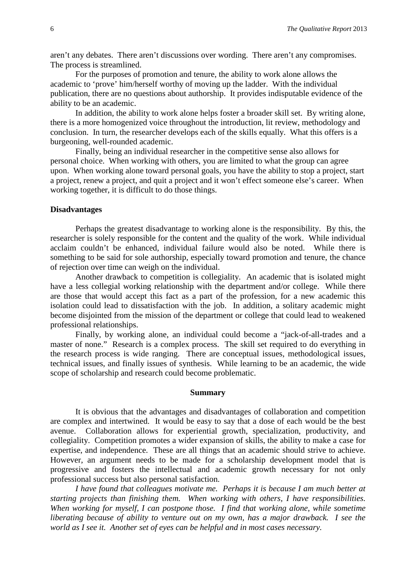aren't any debates. There aren't discussions over wording. There aren't any compromises. The process is streamlined.

For the purposes of promotion and tenure, the ability to work alone allows the academic to 'prove' him/herself worthy of moving up the ladder. With the individual publication, there are no questions about authorship. It provides indisputable evidence of the ability to be an academic.

In addition, the ability to work alone helps foster a broader skill set. By writing alone, there is a more homogenized voice throughout the introduction, lit review, methodology and conclusion. In turn, the researcher develops each of the skills equally. What this offers is a burgeoning, well-rounded academic.

Finally, being an individual researcher in the competitive sense also allows for personal choice. When working with others, you are limited to what the group can agree upon. When working alone toward personal goals, you have the ability to stop a project, start a project, renew a project, and quit a project and it won't effect someone else's career. When working together, it is difficult to do those things.

#### **Disadvantages**

Perhaps the greatest disadvantage to working alone is the responsibility. By this, the researcher is solely responsible for the content and the quality of the work. While individual acclaim couldn't be enhanced, individual failure would also be noted. While there is something to be said for sole authorship, especially toward promotion and tenure, the chance of rejection over time can weigh on the individual.

Another drawback to competition is collegiality. An academic that is isolated might have a less collegial working relationship with the department and/or college. While there are those that would accept this fact as a part of the profession, for a new academic this isolation could lead to dissatisfaction with the job. In addition, a solitary academic might become disjointed from the mission of the department or college that could lead to weakened professional relationships.

Finally, by working alone, an individual could become a "jack-of-all-trades and a master of none." Research is a complex process. The skill set required to do everything in the research process is wide ranging. There are conceptual issues, methodological issues, technical issues, and finally issues of synthesis. While learning to be an academic, the wide scope of scholarship and research could become problematic.

## **Summary**

It is obvious that the advantages and disadvantages of collaboration and competition are complex and intertwined. It would be easy to say that a dose of each would be the best avenue. Collaboration allows for experiential growth, specialization, productivity, and collegiality. Competition promotes a wider expansion of skills, the ability to make a case for expertise, and independence. These are all things that an academic should strive to achieve. However, an argument needs to be made for a scholarship development model that is progressive and fosters the intellectual and academic growth necessary for not only professional success but also personal satisfaction.

*I have found that colleagues motivate me. Perhaps it is because I am much better at starting projects than finishing them. When working with others, I have responsibilities. When working for myself, I can postpone those. I find that working alone, while sometime liberating because of ability to venture out on my own, has a major drawback. I see the world as I see it. Another set of eyes can be helpful and in most cases necessary.*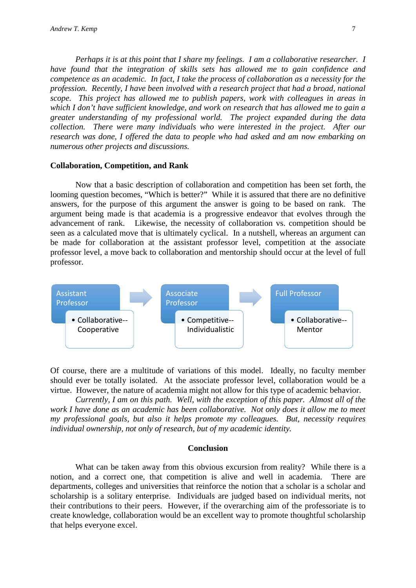*Perhaps it is at this point that I share my feelings. I am a collaborative researcher. I have found that the integration of skills sets has allowed me to gain confidence and competence as an academic. In fact, I take the process of collaboration as a necessity for the profession. Recently, I have been involved with a research project that had a broad, national scope. This project has allowed me to publish papers, work with colleagues in areas in which I don't have sufficient knowledge, and work on research that has allowed me to gain a greater understanding of my professional world. The project expanded during the data collection. There were many individuals who were interested in the project. After our research was done, I offered the data to people who had asked and am now embarking on numerous other projects and discussions.*

#### **Collaboration, Competition, and Rank**

Now that a basic description of collaboration and competition has been set forth, the looming question becomes, "Which is better?" While it is assured that there are no definitive answers, for the purpose of this argument the answer is going to be based on rank. The argument being made is that academia is a progressive endeavor that evolves through the advancement of rank. Likewise, the necessity of collaboration vs. competition should be seen as a calculated move that is ultimately cyclical. In a nutshell, whereas an argument can be made for collaboration at the assistant professor level, competition at the associate professor level, a move back to collaboration and mentorship should occur at the level of full professor.



Of course, there are a multitude of variations of this model. Ideally, no faculty member should ever be totally isolated. At the associate professor level, collaboration would be a virtue. However, the nature of academia might not allow for this type of academic behavior.

*Currently, I am on this path. Well, with the exception of this paper. Almost all of the work I have done as an academic has been collaborative. Not only does it allow me to meet my professional goals, but also it helps promote my colleagues. But, necessity requires individual ownership, not only of research, but of my academic identity.*

## **Conclusion**

What can be taken away from this obvious excursion from reality? While there is a notion, and a correct one, that competition is alive and well in academia. There are departments, colleges and universities that reinforce the notion that a scholar is a scholar and scholarship is a solitary enterprise. Individuals are judged based on individual merits, not their contributions to their peers. However, if the overarching aim of the professoriate is to create knowledge, collaboration would be an excellent way to promote thoughtful scholarship that helps everyone excel.